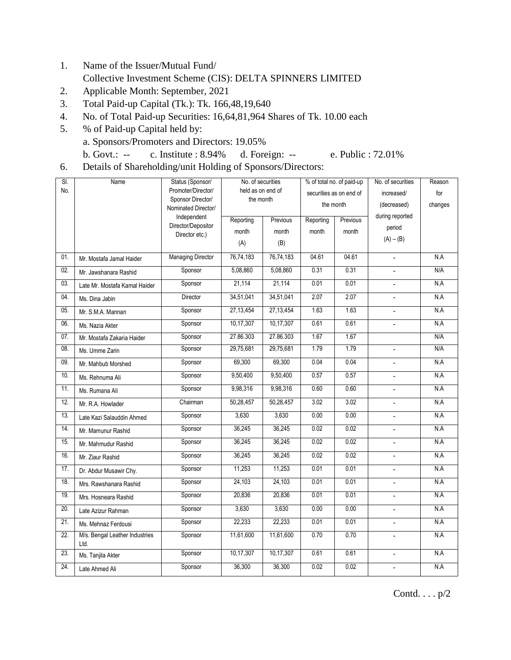- 1. Name of the Issuer/Mutual Fund/ Collective Investment Scheme (CIS): DELTA SPINNERS LIMITED
- 2. Applicable Month: September, 2021
- 3. Total Paid-up Capital (Tk.): Tk. 166,48,19,640
- 4. No. of Total Paid-up Securities: 16,64,81,964 Shares of Tk. 10.00 each
- 5. % of Paid-up Capital held by: a. Sponsors/Promoters and Directors: 19.05% b. Govt.: -- c. Institute : 8.94% d. Foreign: -- e. Public : 72.01%
- 6. Details of Shareholding/unit Holding of Sponsors/Directors:

| SI.<br>Name |                                        | Status (Sponsor/                        | No. of securities              |             | % of total no. of paid-up            |          | No. of securities        | Reason  |
|-------------|----------------------------------------|-----------------------------------------|--------------------------------|-------------|--------------------------------------|----------|--------------------------|---------|
| No.         |                                        | Promoter/Director/<br>Sponsor Director/ | held as on end of<br>the month |             | securities as on end of<br>the month |          | increased/               | for     |
|             |                                        | Nominated Director/                     |                                |             |                                      |          | (decreased)              | changes |
|             |                                        | Independent                             | Reporting                      | Previous    | Reporting                            | Previous | during reported          |         |
|             |                                        | Director/Depositor<br>Director etc.)    | month                          | month       | month                                | month    | period                   |         |
|             |                                        |                                         | (A)                            | (B)         |                                      |          | $(A) - (B)$              |         |
| 01.         | Mr. Mostafa Jamal Haider               | <b>Managing Director</b>                | 76,74,183                      | 76,74,183   | 04.61                                | 04.61    | $\overline{\phantom{a}}$ | N.A     |
| 02.         | Mr. Jawshanara Rashid                  | Sponsor                                 | 5,08,860                       | 5,08,860    | 0.31                                 | 0.31     |                          | N/A     |
| 03.         | Late Mr. Mostafa Kamal Haider          | Sponsor                                 | 21,114                         | 21,114      | 0.01                                 | 0.01     | $\blacksquare$           | N.A     |
| 04.         | Ms. Dina Jabin                         | Director                                | 34,51,041                      | 34,51,041   | 2.07                                 | 2.07     |                          | N.A     |
| 05.         | Mr. S.M.A. Mannan                      | Sponsor                                 | 27,13,454                      | 27, 13, 454 | 1.63                                 | 1.63     | $\overline{\phantom{a}}$ | N.A     |
| 06.         | Ms. Nazia Akter                        | Sponsor                                 | 10,17,307                      | 10,17,307   | 0.61                                 | 0.61     |                          | N.A     |
| 07.         | Mr. Mostafa Zakaria Haider             | Sponsor                                 | 27.86.303                      | 27.86.303   | 1.67                                 | 1.67     |                          | N/A     |
| 08.         | Ms. Umme Zarin                         | Sponsor                                 | 29,75,681                      | 29,75,681   | 1.79                                 | 1.79     | $\overline{a}$           | N/A     |
| 09.         | Mr. Mahbub Morshed                     | Sponsor                                 | 69,300                         | 69,300      | 0.04                                 | 0.04     |                          | N.A     |
| 10.         | Ms. Rehnuma Ali                        | Sponsor                                 | 9,50,400                       | 9,50,400    | 0.57                                 | 0.57     | $\overline{a}$           | N.A     |
| 11.         | Ms. Rumana Ali                         | Sponsor                                 | 9,98,316                       | 9,98,316    | 0.60                                 | 0.60     | $\sim$                   | N.A     |
| 12.         | Mr. R.A. Howlader                      | Chairman                                | 50,28,457                      | 50,28,457   | 3.02                                 | 3.02     | $\overline{a}$           | N.A     |
| 13.         | Late Kazi Salauddin Ahmed              | Sponsor                                 | 3,630                          | 3,630       | 0.00                                 | 0.00     | $\overline{\phantom{a}}$ | N.A     |
| 14.         | Mr. Mamunur Rashid                     | Sponsor                                 | 36,245                         | 36,245      | 0.02                                 | 0.02     | $\mathbb{L}^+$           | N.A     |
| 15.         | Mr. Mahmudur Rashid                    | Sponsor                                 | 36,245                         | 36,245      | 0.02                                 | 0.02     | $\blacksquare$           | N.A     |
| 16.         | Mr. Ziaur Rashid                       | Sponsor                                 | 36,245                         | 36,245      | 0.02                                 | 0.02     | ÷.                       | N.A     |
| 17.         | Dr. Abdur Musawir Chy.                 | Sponsor                                 | 11,253                         | 11,253      | 0.01                                 | 0.01     | $\overline{\phantom{a}}$ | N.A     |
| 18.         | Mrs. Rawshanara Rashid                 | Sponsor                                 | 24,103                         | 24,103      | 0.01                                 | 0.01     | $\omega$                 | N.A     |
| 19.         | Mrs. Hosneara Rashid                   | Sponsor                                 | 20,836                         | 20,836      | 0.01                                 | 0.01     | $\overline{\phantom{a}}$ | N.A     |
| 20.         | Late Azizur Rahman                     | Sponsor                                 | 3,630                          | 3,630       | 0.00                                 | 0.00     | $\mathcal{L}$            | N.A     |
| 21.         | Ms. Mehnaz Ferdousi                    | Sponsor                                 | 22,233                         | 22,233      | 0.01                                 | 0.01     | $\overline{\phantom{a}}$ | N.A     |
| 22.         | M/s. Bengal Leather Industries<br>Ltd. | Sponsor                                 | 11,61,600                      | 11,61,600   | 0.70                                 | 0.70     | $\overline{a}$           | N.A     |
| 23.         | Ms. Tanjila Akter                      | Sponsor                                 | 10,17,307                      | 10,17,307   | 0.61                                 | 0.61     | $\overline{a}$           | N.A     |
| 24.         | Late Ahmed Ali                         | Sponsor                                 | 36,300                         | 36,300      | 0.02                                 | 0.02     | $\overline{\phantom{a}}$ | N.A     |

Contd. . . . p/2